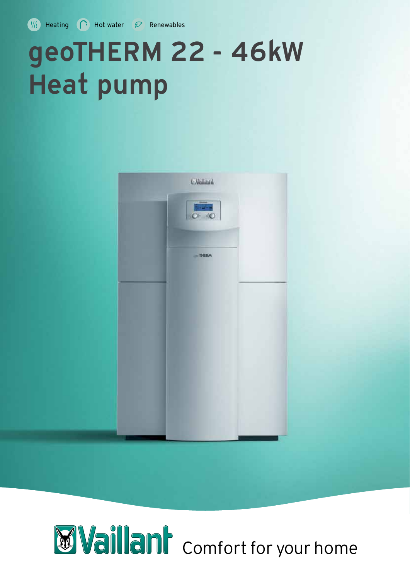**WE Heating C** Hot water  $\varnothing$  Renewables

# geoTHERM 22 - 46kW Heat pump



# **Waillant** comfort for your home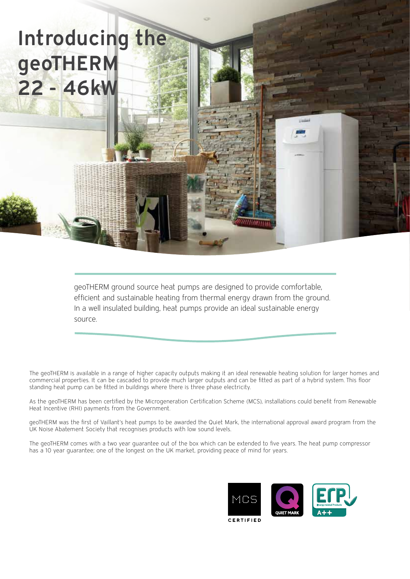## Introducing the geoTHERM 22 - 46kW

geoTHERM ground source heat pumps are designed to provide comfortable, efficient and sustainable heating from thermal energy drawn from the ground. In a well insulated building, heat pumps provide an ideal sustainable energy source.

The geoTHERM is available in a range of higher capacity outputs making it an ideal renewable heating solution for larger homes and commercial properties. It can be cascaded to provide much larger outputs and can be fitted as part of a hybrid system. This floor standing heat pump can be fitted in buildings where there is three phase electricity.

As the geoTHERM has been certified by the Microgeneration Certification Scheme (MCS), installations could benefit from Renewable Heat Incentive (RHI) payments from the Government.

geoTHERM was the first of Vaillant's heat pumps to be awarded the Quiet Mark, the international approval award program from the UK Noise Abatement Society that recognises products with low sound levels.

The geoTHERM comes with a two year guarantee out of the box which can be extended to five years. The heat pump compressor has a 10 year guarantee; one of the longest on the UK market, providing peace of mind for years.

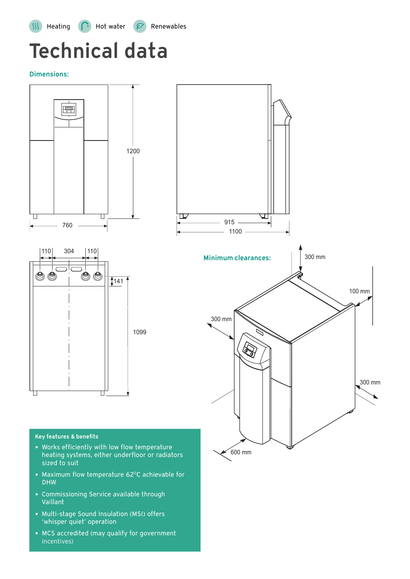## Technical data

Dimensions:



600 mm

#### Key features & benefits

- Works efficiently with low flow temperature heating systems, either underfloor or radiators sized to suit
- Maximum flow temperature 62°C achievable for DHW
- Commissioning Service available through Vaillant
- Multi-stage Sound Insulation (MSI) offers 'whisper quiet' operation
- MCS accredited (may qualify for government incentives)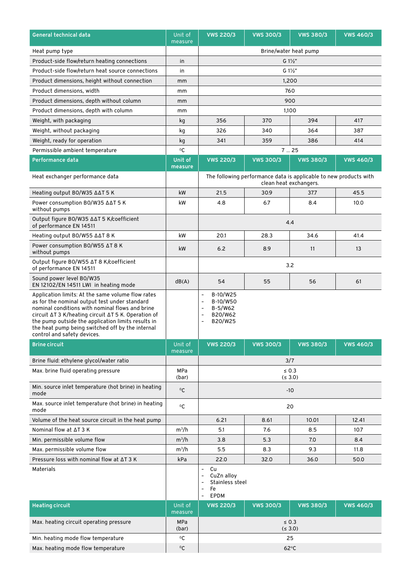| General technical data                                                                                                                                                                                                                                                                                                                                | Unit of<br>measure  | <b>VWS 220/3</b>                                                                                                                                      | <b>VWS 300/3</b>       | <b>VWS 380/3</b>                                                  | <b>VWS 460/3</b> |
|-------------------------------------------------------------------------------------------------------------------------------------------------------------------------------------------------------------------------------------------------------------------------------------------------------------------------------------------------------|---------------------|-------------------------------------------------------------------------------------------------------------------------------------------------------|------------------------|-------------------------------------------------------------------|------------------|
| Heat pump type                                                                                                                                                                                                                                                                                                                                        |                     | Brine/water heat pump                                                                                                                                 |                        |                                                                   |                  |
| Product-side flow/return heating connections                                                                                                                                                                                                                                                                                                          | in                  | $G 1\frac{1}{2}$                                                                                                                                      |                        |                                                                   |                  |
| Product-side flow/return heat source connections                                                                                                                                                                                                                                                                                                      | in                  | $G1\frac{1}{2}$                                                                                                                                       |                        |                                                                   |                  |
| Product dimensions, height without connection                                                                                                                                                                                                                                                                                                         | mm                  | 1,200                                                                                                                                                 |                        |                                                                   |                  |
| Product dimensions, width                                                                                                                                                                                                                                                                                                                             | mm                  |                                                                                                                                                       |                        | 760                                                               |                  |
| Product dimensions, depth without column                                                                                                                                                                                                                                                                                                              | mm                  |                                                                                                                                                       |                        | 900                                                               |                  |
| Product dimensions, depth with column                                                                                                                                                                                                                                                                                                                 | mm                  |                                                                                                                                                       |                        | 1,100                                                             |                  |
| Weight, with packaging                                                                                                                                                                                                                                                                                                                                | kg                  | 356                                                                                                                                                   | 370                    | 394                                                               | 417              |
| Weight, without packaging                                                                                                                                                                                                                                                                                                                             | kg                  | 326                                                                                                                                                   | 340                    | 364                                                               | 387              |
| Weight, ready for operation                                                                                                                                                                                                                                                                                                                           | kg                  | 341                                                                                                                                                   | 359                    | 386                                                               | 414              |
| Permissible ambient temperature                                                                                                                                                                                                                                                                                                                       | $\rm ^{o}C$         |                                                                                                                                                       | 725                    |                                                                   |                  |
| Performance data                                                                                                                                                                                                                                                                                                                                      | Unit of<br>measure  | <b>VWS 220/3</b>                                                                                                                                      | <b>VWS 300/3</b>       | <b>VWS 380/3</b>                                                  | <b>VWS 460/3</b> |
| Heat exchanger performance data                                                                                                                                                                                                                                                                                                                       |                     |                                                                                                                                                       |                        | The following performance data is applicable to new products with |                  |
|                                                                                                                                                                                                                                                                                                                                                       |                     |                                                                                                                                                       | clean heat exchangers. |                                                                   |                  |
| Heating output BO/W35 AAT 5 K                                                                                                                                                                                                                                                                                                                         | kW                  | 21.5                                                                                                                                                  | 30.9                   | 37.7                                                              | 45.5             |
| Power consumption BO/W35 ∆∆T 5 K<br>without pumps                                                                                                                                                                                                                                                                                                     | kW                  | 4.8                                                                                                                                                   | 6.7                    | 8.4                                                               | 10.0             |
| Output figure BO/W35 ∆∆T 5 K/coefficient<br>of performance EN 14511                                                                                                                                                                                                                                                                                   |                     |                                                                                                                                                       |                        | 4.4                                                               |                  |
| Heating output BO/W55 $\triangle\triangle T 8 K$                                                                                                                                                                                                                                                                                                      | kW                  | 20.1                                                                                                                                                  | 28.3                   | 34.6                                                              | 41.4             |
| Power consumption BO/W55 ∆T 8 K<br>without pumps                                                                                                                                                                                                                                                                                                      | kW                  | 6.2                                                                                                                                                   | 8.9                    | 11                                                                | 13               |
| Output figure BO/W55 ∆T 8 K/coefficient<br>of performance EN 14511                                                                                                                                                                                                                                                                                    |                     | 3.2                                                                                                                                                   |                        |                                                                   |                  |
| Sound power level BO/W35<br>EN 12102/EN 14511 LWI in heating mode                                                                                                                                                                                                                                                                                     | dB(A)               | 54                                                                                                                                                    | 55                     | 56                                                                | 61               |
| Application limits: At the same volume flow rates<br>as for the nominal output test under standard<br>nominal conditions with nominal flows and brine<br>circuit ∆T 3 K/heating circuit ∆T 5 K. Operation of<br>the pump outside the application limits results in<br>the heat pump being switched off by the internal<br>control and safety devices. |                     | B-10/W25<br>$\overline{\phantom{0}}$<br>B-10/W50<br>$\overline{a}$<br>B-5/W62<br>$\qquad \qquad \blacksquare$<br>B20/W62<br>B20/W25<br>$\overline{a}$ |                        |                                                                   |                  |
| <b>Brine circuit</b>                                                                                                                                                                                                                                                                                                                                  | Unit of<br>measure  | <b>VWS 220/3</b>                                                                                                                                      | <b>VWS 300/3</b>       | <b>VWS 380/3</b>                                                  | <b>VWS 460/3</b> |
| Brine fluid: ethylene glycol/water ratio                                                                                                                                                                                                                                                                                                              |                     | 3/7                                                                                                                                                   |                        |                                                                   |                  |
| Max. brine fluid operating pressure                                                                                                                                                                                                                                                                                                                   | MPa<br>(bar)        | $\leq 0.3$<br>$( \leq 3.0)$                                                                                                                           |                        |                                                                   |                  |
| Min. source inlet temperature (hot brine) in heating<br>mode                                                                                                                                                                                                                                                                                          | $\rm ^{0}C$         | $-10$                                                                                                                                                 |                        |                                                                   |                  |
| Max. source inlet temperature (hot brine) in heating<br>mode                                                                                                                                                                                                                                                                                          | $\rm ^{0}C$         | 20                                                                                                                                                    |                        |                                                                   |                  |
| Volume of the heat source circuit in the heat pump                                                                                                                                                                                                                                                                                                    |                     | 6.21                                                                                                                                                  | 8.61                   | 10.01                                                             | 12.41            |
| Nominal flow at $\Delta$ T 3 K                                                                                                                                                                                                                                                                                                                        | $m^3/h$             | 5.1                                                                                                                                                   | 7.6                    | 8.5                                                               | 10.7             |
| Min. permissible volume flow                                                                                                                                                                                                                                                                                                                          | $m^3/h$             | 3.8                                                                                                                                                   | 5.3                    | 7.0                                                               | 8.4              |
| Max. permissible volume flow                                                                                                                                                                                                                                                                                                                          | $m^3/h$             | 5.5                                                                                                                                                   | 8.3                    | 9.3                                                               | 11.8             |
| Pressure loss with nominal flow at AT 3 K                                                                                                                                                                                                                                                                                                             | kPa                 | 22.0                                                                                                                                                  | 32.0                   | 36.0                                                              | 50.0             |
| Materials                                                                                                                                                                                                                                                                                                                                             |                     | Cu<br>$\overline{\phantom{0}}$<br>CuZn alloy<br>Stainless steel<br>$\overline{\phantom{0}}$<br>Fe<br>$\overline{a}$<br><b>EPDM</b><br>$\overline{a}$  |                        |                                                                   |                  |
| <b>Heating circuit</b>                                                                                                                                                                                                                                                                                                                                | Unit of<br>measure  | <b>VWS 220/3</b>                                                                                                                                      | <b>VWS 300/3</b>       | <b>VWS 380/3</b>                                                  | <b>VWS 460/3</b> |
| Max. heating circuit operating pressure                                                                                                                                                                                                                                                                                                               | <b>MPa</b><br>(bar) |                                                                                                                                                       | (5.3.0)                | $\leq 0.3$                                                        |                  |
| Min. heating mode flow temperature                                                                                                                                                                                                                                                                                                                    | $^{\circ}$ C        | 25                                                                                                                                                    |                        |                                                                   |                  |
| Max. heating mode flow temperature                                                                                                                                                                                                                                                                                                                    | $\mathrm{^{0}C}$    | $62^{\circ}C$                                                                                                                                         |                        |                                                                   |                  |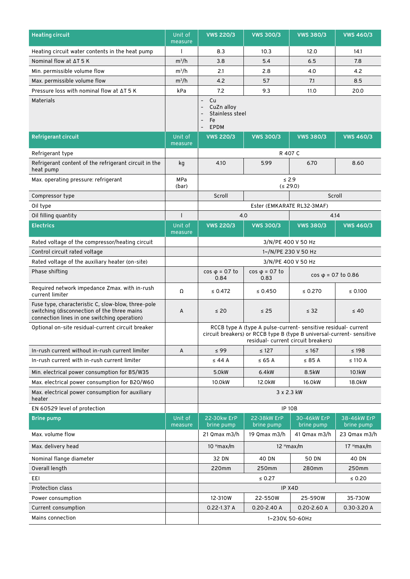| <b>Heating circuit</b>                                                                                                                            | Unit of<br>measure | <b>VWS 220/3</b>                                                                                                                                                               | <b>VWS 300/3</b>               | <b>VWS 380/3</b>            | <b>VWS 460/3</b>          |
|---------------------------------------------------------------------------------------------------------------------------------------------------|--------------------|--------------------------------------------------------------------------------------------------------------------------------------------------------------------------------|--------------------------------|-----------------------------|---------------------------|
| Heating circuit water contents in the heat pump                                                                                                   |                    | 8.3                                                                                                                                                                            | 10.3                           | 12.0                        | 14.1                      |
| Nominal flow at AT 5 K                                                                                                                            | $m^3/h$            | 3.8                                                                                                                                                                            | 5.4                            | 6.5                         | 7.8                       |
| Min. permissible volume flow                                                                                                                      | $m^3/h$            | 2.1                                                                                                                                                                            | 2.8                            | 4.0                         | 4.2                       |
| Max. permissible volume flow                                                                                                                      | $m^3/h$            | 4.2                                                                                                                                                                            | 5.7                            | 7.1                         | 8.5                       |
| Pressure loss with nominal flow at AT 5 K                                                                                                         | kPa                | 7.2                                                                                                                                                                            | 9.3                            | 11.0                        | 20.0                      |
| Materials                                                                                                                                         |                    | Cu<br>$\qquad \qquad -$<br>CuZn alloy<br>Stainless steel<br>$\qquad \qquad -$<br>Fe<br><b>EPDM</b><br>$\overline{a}$                                                           |                                |                             |                           |
| <b>Refrigerant circuit</b>                                                                                                                        | Unit of<br>measure | <b>VWS 220/3</b>                                                                                                                                                               | <b>VWS 300/3</b>               | <b>VWS 380/3</b>            | <b>VWS 460/3</b>          |
| Refrigerant type                                                                                                                                  |                    |                                                                                                                                                                                | R 407 C                        |                             |                           |
| Refrigerant content of the refrigerant circuit in the<br>heat pump                                                                                | kg                 | 4.10                                                                                                                                                                           | 5.99                           | 6.70                        | 8.60                      |
| Max. operating pressure: refrigerant                                                                                                              | MPa<br>(bar)       |                                                                                                                                                                                | $\leq$ 2.9<br>(529.0)          |                             |                           |
| Compressor type                                                                                                                                   |                    | Scroll                                                                                                                                                                         |                                | Scroll                      |                           |
| Oil type                                                                                                                                          |                    |                                                                                                                                                                                | Ester (EMKARATE RL32-3MAF)     |                             |                           |
| Oil filling quantity                                                                                                                              |                    | 4.0                                                                                                                                                                            |                                | 4.14                        |                           |
| <b>Electrics</b>                                                                                                                                  | Unit of<br>measure | <b>VWS 220/3</b>                                                                                                                                                               | <b>VWS 300/3</b>               | <b>VWS 380/3</b>            | <b>VWS 460/3</b>          |
| Rated voltage of the compressor/heating circuit                                                                                                   |                    | 3/N/PE 400 V 50 Hz                                                                                                                                                             |                                |                             |                           |
| Control circuit rated voltage                                                                                                                     |                    | 1~/N/PE 230 V 50 Hz                                                                                                                                                            |                                |                             |                           |
| Rated voltage of the auxiliary heater (on-site)                                                                                                   |                    |                                                                                                                                                                                | 3/N/PE 400 V 50 Hz             |                             |                           |
| Phase shifting                                                                                                                                    |                    | $\cos \varphi = 0.7$ to<br>0.84                                                                                                                                                | $cos \varphi = 0.7$ to<br>0.83 | $cos \varphi = 0.7$ to 0.86 |                           |
| Required network impedance Zmax. with in-rush<br>current limiter                                                                                  | Ω                  | $\leq 0.472$                                                                                                                                                                   | $\leq 0.450$                   | $\leq 0.270$                | ≤ $0.100$                 |
| Fuse type, characteristic C, slow-blow, three-pole<br>switching (disconnection of the three mains<br>connection lines in one switching operation) | A                  | $\leq 20$                                                                                                                                                                      | $\leq$ 25                      | $\leq$ 32                   | $\leq 40$                 |
| Optional on-site residual-current circuit breaker                                                                                                 |                    | RCCB type A (type A pulse-current- sensitive residual- current<br>circuit breakers) or RCCB type B (type B universal-current- sensitive<br>residual- current circuit breakers) |                                |                             |                           |
| In-rush current without in-rush current limiter                                                                                                   | A                  | $\leq 99$                                                                                                                                                                      | $\leq 127$                     | $\leq 167$                  | $\leq 198$                |
| In-rush current with in-rush current limiter                                                                                                      |                    | $\leq$ 44 A                                                                                                                                                                    | ≤ 65 A                         | $\leq 85$ A                 | $\leq$ 110 A              |
| Min. electrical power consumption for B5/W35                                                                                                      |                    | 5.0kW                                                                                                                                                                          | 6.4kW                          | 8.5kW                       | 10.1kW                    |
| Max. electrical power consumption for B20/W60                                                                                                     |                    | 10.0kW                                                                                                                                                                         | 12.0kW                         | 16.0kW                      | 18.0kW                    |
| Max. electrical power consumption for auxiliary<br>heater                                                                                         |                    | 3 x 2.3 kW                                                                                                                                                                     |                                |                             |                           |
| EN 60529 level of protection                                                                                                                      |                    | <b>IP 10B</b>                                                                                                                                                                  |                                |                             |                           |
| <b>Brine pump</b>                                                                                                                                 | Unit of<br>measure | 22-30kw ErP<br>brine pump                                                                                                                                                      | 22-38kW ErP<br>brine pump      | 30-46kW ErP<br>brine pump   | 38-46kW ErP<br>brine pump |
| Max. volume flow                                                                                                                                  |                    | 21 Qmax m3/h                                                                                                                                                                   | 19 Qmax m3/h                   | 41 Qmax m3/h                | 23 Qmax m3/h              |
| Max. delivery head                                                                                                                                |                    | $10$ <sup>H</sup> max/m                                                                                                                                                        |                                | $12$ <sup>H</sup> max/m     | $17$ <sup>H</sup> max/m   |
| Nominal flange diameter                                                                                                                           |                    | 32 DN                                                                                                                                                                          | 40 DN                          | <b>50 DN</b>                | 40 DN                     |
| Overall length                                                                                                                                    |                    | 220mm                                                                                                                                                                          | 250mm                          | 280mm                       | 250mm                     |
| EEI                                                                                                                                               |                    | $\leq 0.27$<br>$\leq 0.20$                                                                                                                                                     |                                |                             |                           |
| Protection class                                                                                                                                  |                    | IP X4D                                                                                                                                                                         |                                |                             |                           |
| Power consumption                                                                                                                                 |                    | 12-310W                                                                                                                                                                        | 22-550W                        | 25-590W                     | 35-730W                   |
| Current consumption                                                                                                                               |                    | 0.22-1.37 A                                                                                                                                                                    | $0.20 - 2.40 A$                | $0.20 - 2.60 A$             | 0.30-3.20 A               |
| Mains connection                                                                                                                                  |                    | 1~230V, 50-60Hz                                                                                                                                                                |                                |                             |                           |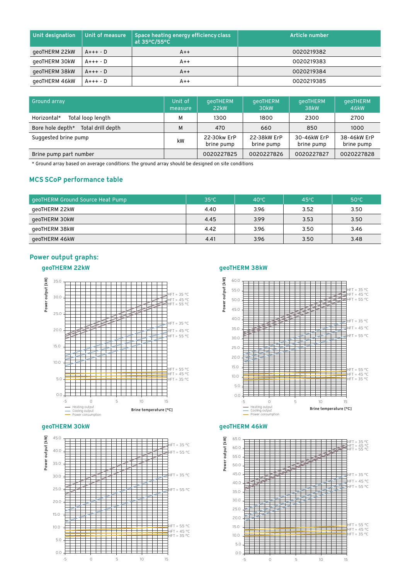| Unit designation | Unit of measure | Space heating energy efficiency class | Article number |
|------------------|-----------------|---------------------------------------|----------------|
| geoTHERM 22kW    | $A+++$ - $D$    | $A++$                                 | 0020219382     |
| geoTHERM 30kW    | A+++ - D        | $A++$                                 | 0020219383     |
| geoTHERM 38kW    | $A+++$ - $D$    | $A++$                                 | 0020219384     |
| geoTHERM 46kW    | A+++ - D        | $A++$                                 | 0020219385     |

| Ground array                          | Unit of<br>measure | qeoTHERM<br>22 <sub>kW</sub> | qeoTHERM<br>30 <sub>k</sub> w | qeoTHERM<br>38kW          | qeoTHERM<br>46 <sub>k</sub> W |
|---------------------------------------|--------------------|------------------------------|-------------------------------|---------------------------|-------------------------------|
| Total loop length<br>Horizontal*      | м                  | 1300                         | 1800                          | 2300                      | 2700                          |
| Bore hole depth*<br>Total drill depth | м                  | 470                          | 660                           | 850                       | 1000                          |
| Suggested brine pump                  | kW                 | 22-30kw ErP<br>brine pump    | 22-38kW ErP<br>brine pump     | 30-46kW ErP<br>brine pump | 38-46kW ErP<br>brine pump     |
| Brine pump part number                |                    | 0020227825                   | 0020227826                    | 0020227827                | 0020227828                    |

\* Ground array based on average conditions: the ground array should be designed on site conditions

#### MCS SCoP performance table

| geoTHERM Ground Source Heat Pump | $35^{\circ}$ C | $40^{\circ}$ C | $45^{\circ}$ C | $50^{\circ}$ C |
|----------------------------------|----------------|----------------|----------------|----------------|
| geoTHERM 22kW                    | 4.40           | 3.96           | 3.52           | 3.50           |
| geoTHERM 30kW                    | 4.45           | 3.99           | 3.53           | 3.50           |
| qeoTHERM 38kW                    | 4.42           | 3.96           | 3.50           | 3.46           |
| geoTHERM 46kW                    | 4.41           | 3.96           | 3.50           | 3.48           |

#### Power output graphs:

### geoTHERM 22kW geoTHERM 38kW



#### geoTHERM 30kW geoTHERM 46kW





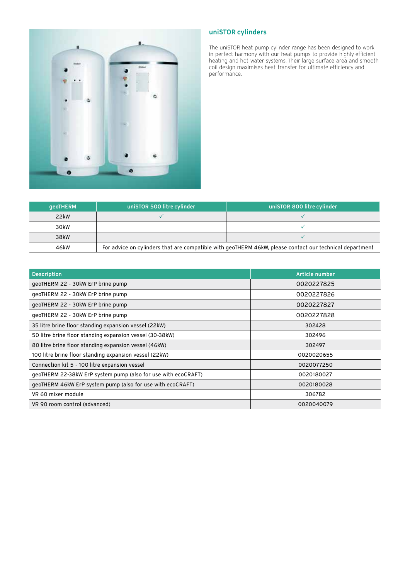

#### uniSTOR cylinders

The uniSTOR heat pump cylinder range has been designed to work in perfect harmony with our heat pumps to provide highly efficient heating and hot water systems. Their large surface area and smooth coil design maximises heat transfer for ultimate efficiency and performance.

| aeoTHERM | uniSTOR 500 litre cylinder                                                                              | uniSTOR 800 litre cylinder |  |
|----------|---------------------------------------------------------------------------------------------------------|----------------------------|--|
| 22kW     |                                                                                                         |                            |  |
| 30kW     |                                                                                                         |                            |  |
| 38kW     |                                                                                                         |                            |  |
| 46kW     | For advice on cylinders that are compatible with geoTHERM 46kW, please contact our technical department |                            |  |

| <b>Description</b>                                            | Article number |
|---------------------------------------------------------------|----------------|
| geoTHERM 22 - 30kW ErP brine pump                             | 0020227825     |
| geoTHERM 22 - 30kW ErP brine pump                             | 0020227826     |
| geoTHERM 22 - 30kW ErP brine pump                             | 0020227827     |
| geoTHERM 22 - 30kW ErP brine pump                             | 0020227828     |
| 35 litre brine floor standing expansion vessel (22kW)         | 302428         |
| 50 litre brine floor standing expansion vessel (30-38kW)      | 302496         |
| 80 litre brine floor standing expansion vessel (46kW)         | 302497         |
| 100 litre brine floor standing expansion vessel (22kW)        | 0020020655     |
| Connection kit 5 - 100 litre expansion vessel                 | 0020077250     |
| geoTHERM 22-38kW ErP system pump (also for use with ecoCRAFT) | 0020180027     |
| geoTHERM 46kW ErP system pump (also for use with ecoCRAFT)    | 0020180028     |
| VR 60 mixer module                                            | 306782         |
| VR 90 room control (advanced)                                 | 0020040079     |